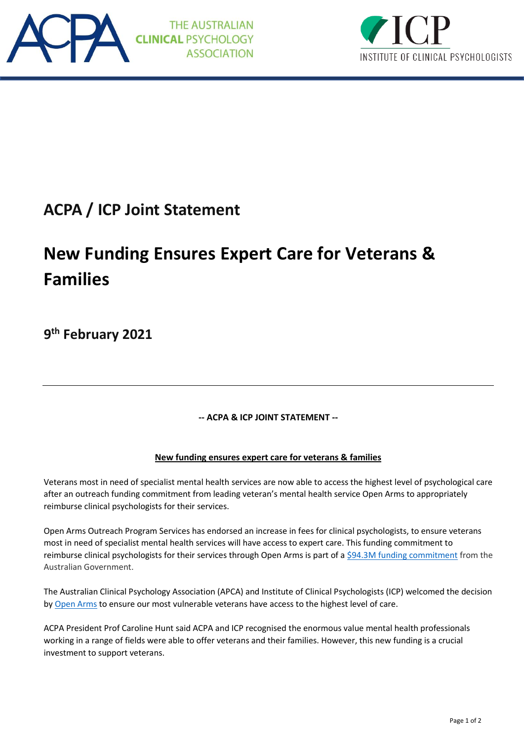



## **ACPA / ICP Joint Statement**

## **New Funding Ensures Expert Care for Veterans & Families**

**9 th February 2021**

**-- ACPA & ICP JOINT STATEMENT --**

## **New funding ensures expert care for veterans & families**

Veterans most in need of specialist mental health services are now able to access the highest level of psychological care after an outreach funding commitment from leading veteran's mental health service Open Arms to appropriately reimburse clinical psychologists for their services.

Open Arms Outreach Program Services has endorsed an increase in fees for clinical psychologists, to ensure veterans most in need of specialist mental health services will have access to expert care. This funding commitment to reimburse clinical psychologists for their services through Open Arms is part of [a \\$94.3M funding commitment](http://minister.dva.gov.au/media_releases/2021/feb/va003.htm) from the Australian Government.

The Australian Clinical Psychology Association (APCA) and Institute of Clinical Psychologists (ICP) welcomed the decision b[y Open Arms](https://www.openarms.gov.au/) to ensure our most vulnerable veterans have access to the highest level of care.

ACPA President Prof Caroline Hunt said ACPA and ICP recognised the enormous value mental health professionals working in a range of fields were able to offer veterans and their families. However, this new funding is a crucial investment to support veterans.